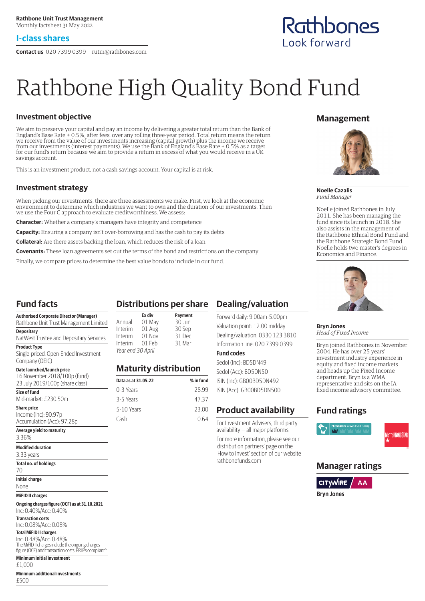## **I-class shares**

**Contact us** 020 7399 0399 rutm@rathbones.com

# Rathbone High Quality Bond Fund

# **Investment objective**

We aim to preserve your capital and pay an income by delivering a greater total return than the Bank of England's Base Rate + 0.5%, after fees, over any rolling three-year period. Total return means the return we receive from the value of our investments increasing (capital growth) plus the income we receive from our investments (interest payments). We use the Bank of England's Base Rate + 0.5% as a target for our fund's return because we aim to provide a return in excess of what you would receive in a UK savings account.

This is an investment product, not a cash savings account. Your capital is at risk.

## **Investment strategy**

When picking our investments, there are three assessments we make. First, we look at the economic environment to determine which industries we want to own and the duration of our investments. Then we use the Four C approach to evaluate creditworthiness. We assess:

**Character:** Whether a company's managers have integrity and competence

**Capacity:** Ensuring a company isn't over-borrowing and has the cash to pay its debts

**Collateral:** Are there assets backing the loan, which reduces the risk of a loan

**Covenants:** These loan agreements set out the terms of the bond and restrictions on the company

Finally, we compare prices to determine the best value bonds to include in our fund.

# **Fund facts**

| <b>Authorised Corporate Director (Manager)</b><br>Rathbone Unit Trust Management Limited      |
|-----------------------------------------------------------------------------------------------|
| <b>Depositary</b><br>NatWest Trustee and Depositary Services                                  |
| <b>Product Type</b><br>Single-priced, Open-Ended Investment<br>Company (OEIC)                 |
| Date launched/launch price<br>16 November 2018/100p (fund)<br>23 July 2019/100p (share class) |
| Size of fund<br>Mid-market: £230.50m                                                          |

## **Share price**

Income (Inc): 90.97p Accumulation (Acc): 97.28p

# **Average yield to maturity**

3.36% **Modified duration**

3.33 years

## **Total no. of holdings**

70

**Initial charge**

None

## **MiFID II charges**

**Ongoing charges figure (OCF) as at 31.10.2021** Inc: 0.40%/Acc: 0.40%

**Transaction costs**

Inc: 0.08%/Acc: 0.08%

## **Total MiFID II charges**

Inc: 0.48%/Acc: 0.48% The MiFID II charges include the ongoing charges figure (OCF) and transaction costs. PRIIPs compliant^

#### **Minimum initial investment** £1,000

**Minimum additional investments**

#### £500

# **Distributions per share**

|                   | Ex div | Payment |
|-------------------|--------|---------|
| Annual            | 01 May | 30 Jun  |
| Interim           | 01 Aug | 30 Sep  |
| Interim           | 01 Nov | 31 Dec  |
| Interim           | 01 Feb | 31 Mar  |
| Year end 30 April |        |         |

# **Maturity distribution**

| Data as at 31.05.22 | % in fund |
|---------------------|-----------|
| 0-3 Years           | 28.99     |
| 3-5 Years           | 47 37     |
| 5-10 Years          | 23.00     |
| Cash                | N 64      |

# **Dealing/valuation**

Forward daily: 9.00am-5.00pm Valuation point: 12.00 midday Dealing/valuation: 0330 123 3810 Information line: 020 7399 0399

## **Fund codes**

Sedol (Inc): BD5DN49 Sedol (Acc): BD5DN50 ISIN (Inc): GB00BD5DN492 ISIN (Acc): GB00BD5DN500

# **Product availability**

For Investment Advisers, third party availability — all major platforms. For more information, please see our 'distribution partners' page on the 'How to Invest' section of our website rathbonefunds.com

# **Management**



**Noelle Cazalis** *Fund Manager*

Noelle joined Rathbones in July 2011. She has been managing the fund since its launch in 2018. She also assists in the management of the Rathbone Ethical Bond Fund and the Rathbone Strategic Bond Fund. Noelle holds two master's degrees in Economics and Finance.



#### **Bryn Jones** *Head of Fixed Income*

Bryn joined Rathbones in November 2004. He has over 25 years' investment industry experience in equity and fixed income markets and heads up the Fixed Income department. Bryn is a WMA representative and sits on the IA fixed income advisory committee.

# **Fund ratings**



**ORNINGSTA** 

# **Manager ratings**